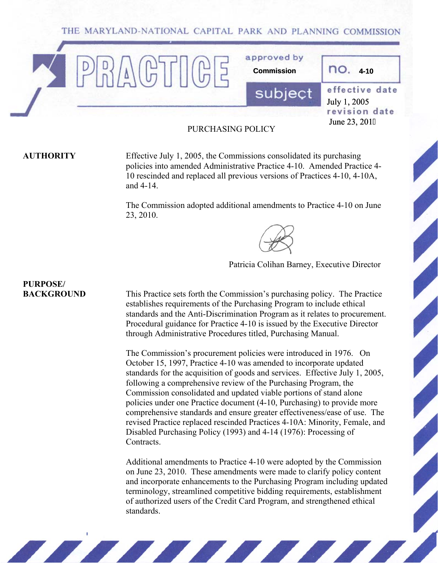THE MARYLAND-NATIONAL CAPITAL PARK AND PLANNING COMMISSION



#### PURCHASING POLICY

**AUTHORITY** Effective July 1, 2005, the Commissions consolidated its purchasing policies into amended Administrative Practice 4-10. Amended Practice 4- 10 rescinded and replaced all previous versions of Practices 4-10, 4-10A, and 4-14.

> The Commission adopted additional amendments to Practice 4-10 on June 23, 2010.



Patricia Colihan Barney, Executive Director

**BACKGROUND** This Practice sets forth the Commission's purchasing policy. The Practice establishes requirements of the Purchasing Program to include ethical standards and the Anti-Discrimination Program as it relates to procurement. Procedural guidance for Practice 4-10 is issued by the Executive Director through Administrative Procedures titled, Purchasing Manual.

> The Commission's procurement policies were introduced in 1976. On October 15, 1997, Practice 4-10 was amended to incorporate updated standards for the acquisition of goods and services. Effective July 1, 2005, following a comprehensive review of the Purchasing Program, the Commission consolidated and updated viable portions of stand alone policies under one Practice document (4-10, Purchasing) to provide more comprehensive standards and ensure greater effectiveness/ease of use. The revised Practice replaced rescinded Practices 4-10A: Minority, Female, and Disabled Purchasing Policy (1993) and 4-14 (1976): Processing of **Contracts**

Additional amendments to Practice 4-10 were adopted by the Commission on June 23, 2010. These amendments were made to clarify policy content and incorporate enhancements to the Purchasing Program including updated terminology, streamlined competitive bidding requirements, establishment of authorized users of the Credit Card Program, and strengthened ethical standards.

ESSIS ESSIS

# **PURPOSE/**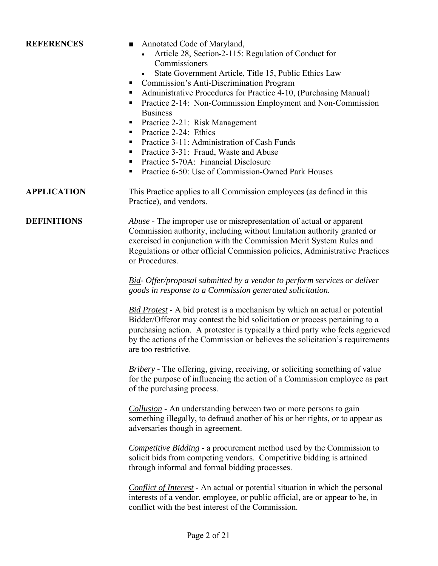## **REFERENCES** ■ Annotated Code of Maryland, • Article 28, Section 2-115: Regulation of Conduct for **Commissioners** • State Government Article, Title 15, Public Ethics Law ■ Commission's Anti-Discrimination Program ■ Administrative Procedures for Practice 4-10, (Purchasing Manual) **Practice 2-14: Non-Commission Employment and Non-Commission Business** Practice 2-21: Risk Management Practice  $2-24$  Ethics **Practice 3-11: Administration of Cash Funds Practice 3-31: Fraud, Waste and Abuse Practice 5-70A: Financial Disclosure Practice 6-50: Use of Commission-Owned Park Houses APPLICATION** This Practice applies to all Commission employees (as defined in this Practice), and vendors. **DEFINITIONS** *Abuse* - The improper use or misrepresentation of actual or apparent Commission authority, including without limitation authority granted or exercised in conjunction with the Commission Merit System Rules and Regulations or other official Commission policies, Administrative Practices or Procedures. *Bid- Offer/proposal submitted by a vendor to perform services or deliver goods in response to a Commission generated solicitation. Bid Protest* - A bid protest is a mechanism by which an actual or potential Bidder/Offeror may contest the bid solicitation or process pertaining to a purchasing action. A protestor is typically a third party who feels aggrieved by the actions of the Commission or believes the solicitation's requirements are too restrictive. *Bribery* - The offering, giving, receiving, or soliciting something of value for the purpose of influencing the action of a Commission employee as part of the purchasing process. *Collusion* - An understanding between two or more persons to gain something illegally, to defraud another of his or her rights, or to appear as adversaries though in agreement. *Competitive Bidding* - a procurement method used by the Commission to solicit bids from competing vendors. Competitive bidding is attained through informal and formal bidding processes. *Conflict of Interest* - An actual or potential situation in which the personal interests of a vendor, employee, or public official, are or appear to be, in conflict with the best interest of the Commission.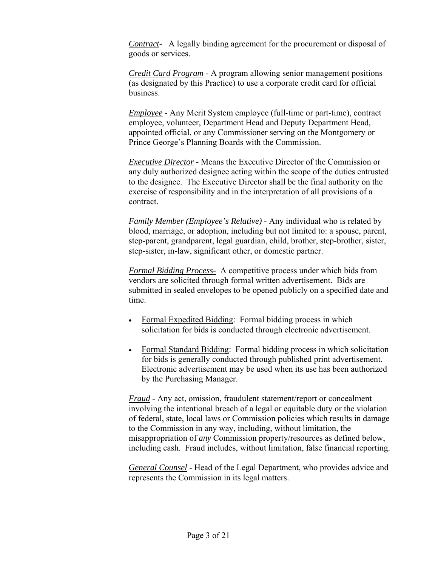*Contract-* A legally binding agreement for the procurement or disposal of goods or services.

*Credit Card Program* - A program allowing senior management positions (as designated by this Practice) to use a corporate credit card for official business.

*Employee* - Any Merit System employee (full-time or part-time), contract employee, volunteer, Department Head and Deputy Department Head, appointed official, or any Commissioner serving on the Montgomery or Prince George's Planning Boards with the Commission.

*Executive Director* - Means the Executive Director of the Commission or any duly authorized designee acting within the scope of the duties entrusted to the designee. The Executive Director shall be the final authority on the exercise of responsibility and in the interpretation of all provisions of a contract.

*Family Member (Employee's Relative)* - Any individual who is related by blood, marriage, or adoption, including but not limited to: a spouse, parent, step-parent, grandparent, legal guardian, child, brother, step-brother, sister, step-sister, in-law, significant other, or domestic partner.

*Formal Bidding Process-* A competitive process under which bids from vendors are solicited through formal written advertisement. Bids are submitted in sealed envelopes to be opened publicly on a specified date and time.

- Formal Expedited Bidding: Formal bidding process in which solicitation for bids is conducted through electronic advertisement.
- Formal Standard Bidding: Formal bidding process in which solicitation for bids is generally conducted through published print advertisement. Electronic advertisement may be used when its use has been authorized by the Purchasing Manager.

*Fraud* - Any act, omission, fraudulent statement/report or concealment involving the intentional breach of a legal or equitable duty or the violation of federal, state, local laws or Commission policies which results in damage to the Commission in any way, including, without limitation, the misappropriation of *any* Commission property/resources as defined below, including cash. Fraud includes, without limitation, false financial reporting.

*General Counsel* - Head of the Legal Department, who provides advice and represents the Commission in its legal matters.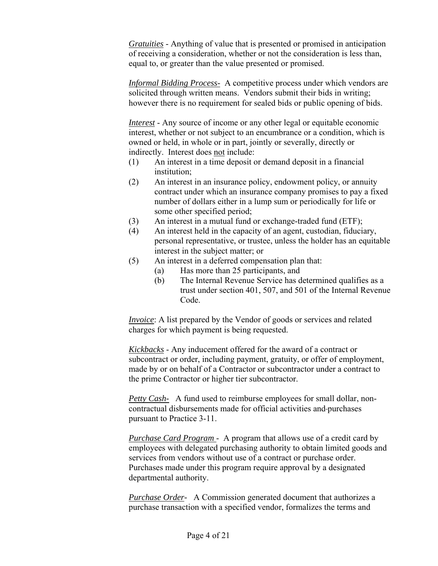*Gratuities* - Anything of value that is presented or promised in anticipation of receiving a consideration, whether or not the consideration is less than, equal to, or greater than the value presented or promised.

*Informal Bidding Process-* A competitive process under which vendors are solicited through written means. Vendors submit their bids in writing; however there is no requirement for sealed bids or public opening of bids.

*Interest* - Any source of income or any other legal or equitable economic interest, whether or not subject to an encumbrance or a condition, which is owned or held, in whole or in part, jointly or severally, directly or indirectly. Interest does not include:

- (1) An interest in a time deposit or demand deposit in a financial institution;
- (2) An interest in an insurance policy, endowment policy, or annuity contract under which an insurance company promises to pay a fixed number of dollars either in a lump sum or periodically for life or some other specified period;
- (3) An interest in a mutual fund or exchange-traded fund (ETF);
- (4) An interest held in the capacity of an agent, custodian, fiduciary, personal representative, or trustee, unless the holder has an equitable interest in the subject matter; or
- (5) An interest in a deferred compensation plan that:
	- (a) Has more than 25 participants, and
	- (b) The Internal Revenue Service has determined qualifies as a trust under section 401, 507, and 501 of the Internal Revenue Code.

*Invoice*: A list prepared by the Vendor of goods or services and related charges for which payment is being requested.

*Kickbacks* - Any inducement offered for the award of a contract or subcontract or order, including payment, gratuity, or offer of employment, made by or on behalf of a Contractor or subcontractor under a contract to the prime Contractor or higher tier subcontractor.

*Petty Cash-* A fund used to reimburse employees for small dollar, noncontractual disbursements made for official activities and purchases pursuant to Practice 3-11.

*Purchase Card Program* - A program that allows use of a credit card by employees with delegated purchasing authority to obtain limited goods and services from vendors without use of a contract or purchase order. Purchases made under this program require approval by a designated departmental authority.

*Purchase Order-* A Commission generated document that authorizes a purchase transaction with a specified vendor, formalizes the terms and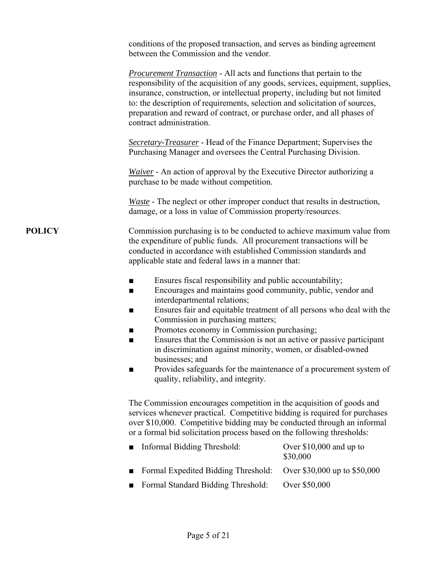|               | conditions of the proposed transaction, and serves as binding agreement<br>between the Commission and the vendor.                                                                                                                                                                                                                                                                                                                                                                                                                                                                                                         |
|---------------|---------------------------------------------------------------------------------------------------------------------------------------------------------------------------------------------------------------------------------------------------------------------------------------------------------------------------------------------------------------------------------------------------------------------------------------------------------------------------------------------------------------------------------------------------------------------------------------------------------------------------|
|               | <b>Procurement Transaction</b> - All acts and functions that pertain to the<br>responsibility of the acquisition of any goods, services, equipment, supplies,<br>insurance, construction, or intellectual property, including but not limited<br>to: the description of requirements, selection and solicitation of sources,<br>preparation and reward of contract, or purchase order, and all phases of<br>contract administration.                                                                                                                                                                                      |
|               | Secretary-Treasurer - Head of the Finance Department; Supervises the<br>Purchasing Manager and oversees the Central Purchasing Division.                                                                                                                                                                                                                                                                                                                                                                                                                                                                                  |
|               | Waiver - An action of approval by the Executive Director authorizing a<br>purchase to be made without competition.                                                                                                                                                                                                                                                                                                                                                                                                                                                                                                        |
|               | <i>Waste</i> - The neglect or other improper conduct that results in destruction,<br>damage, or a loss in value of Commission property/resources.                                                                                                                                                                                                                                                                                                                                                                                                                                                                         |
| <b>POLICY</b> | Commission purchasing is to be conducted to achieve maximum value from<br>the expenditure of public funds. All procurement transactions will be<br>conducted in accordance with established Commission standards and<br>applicable state and federal laws in a manner that:                                                                                                                                                                                                                                                                                                                                               |
|               | Ensures fiscal responsibility and public accountability;<br>■<br>Encourages and maintains good community, public, vendor and<br>■<br>interdepartmental relations;<br>Ensures fair and equitable treatment of all persons who deal with the<br>■<br>Commission in purchasing matters;<br>Promotes economy in Commission purchasing;<br>■<br>Ensures that the Commission is not an active or passive participant<br>■<br>in discrimination against minority, women, or disabled-owned<br>businesses; and<br>Provides safeguards for the maintenance of a procurement system of<br>■<br>quality, reliability, and integrity. |
|               |                                                                                                                                                                                                                                                                                                                                                                                                                                                                                                                                                                                                                           |

The Commission encourages competition in the acquisition of goods and services whenever practical. Competitive bidding is required for purchases over \$10,000. Competitive bidding may be conducted through an informal or a formal bid solicitation process based on the following thresholds:

| Informal Bidding Threshold:                                      | Over $$10,000$ and up to<br>\$30,000 |
|------------------------------------------------------------------|--------------------------------------|
| Formal Expedited Bidding Threshold: Over \$30,000 up to \$50,000 |                                      |
| ■ Formal Standard Bidding Threshold:                             | Over \$50,000                        |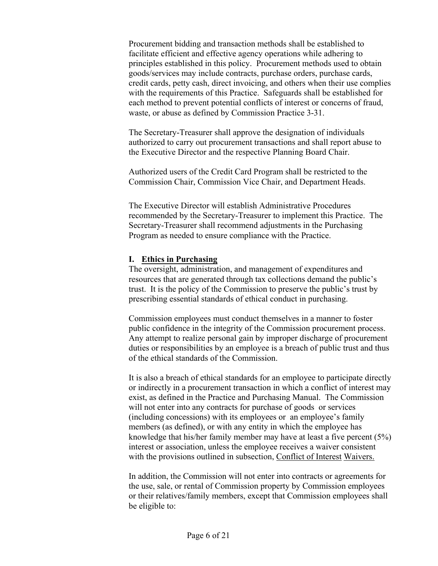Procurement bidding and transaction methods shall be established to facilitate efficient and effective agency operations while adhering to principles established in this policy. Procurement methods used to obtain goods/services may include contracts, purchase orders, purchase cards, credit cards, petty cash, direct invoicing, and others when their use complies with the requirements of this Practice. Safeguards shall be established for each method to prevent potential conflicts of interest or concerns of fraud, waste, or abuse as defined by Commission Practice 3-31.

The Secretary-Treasurer shall approve the designation of individuals authorized to carry out procurement transactions and shall report abuse to the Executive Director and the respective Planning Board Chair.

Authorized users of the Credit Card Program shall be restricted to the Commission Chair, Commission Vice Chair, and Department Heads.

The Executive Director will establish Administrative Procedures recommended by the Secretary-Treasurer to implement this Practice. The Secretary-Treasurer shall recommend adjustments in the Purchasing Program as needed to ensure compliance with the Practice.

#### **I. Ethics in Purchasing**

The oversight, administration, and management of expenditures and resources that are generated through tax collections demand the public's trust. It is the policy of the Commission to preserve the public's trust by prescribing essential standards of ethical conduct in purchasing.

Commission employees must conduct themselves in a manner to foster public confidence in the integrity of the Commission procurement process. Any attempt to realize personal gain by improper discharge of procurement duties or responsibilities by an employee is a breach of public trust and thus of the ethical standards of the Commission.

It is also a breach of ethical standards for an employee to participate directly or indirectly in a procurement transaction in which a conflict of interest may exist, as defined in the Practice and Purchasing Manual. The Commission will not enter into any contracts for purchase of goods or services (including concessions) with its employees or an employee's family members (as defined), or with any entity in which the employee has knowledge that his/her family member may have at least a five percent (5%) interest or association, unless the employee receives a waiver consistent with the provisions outlined in subsection, Conflict of Interest Waivers.

In addition, the Commission will not enter into contracts or agreements for the use, sale, or rental of Commission property by Commission employees or their relatives/family members, except that Commission employees shall be eligible to: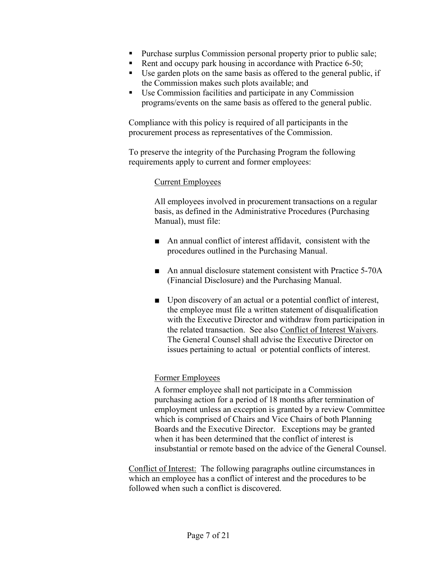- **Purchase surplus Commission personal property prior to public sale;**
- Rent and occupy park housing in accordance with Practice  $6-50$ ;
- Use garden plots on the same basis as offered to the general public, if the Commission makes such plots available; and
- Use Commission facilities and participate in any Commission programs/events on the same basis as offered to the general public.

Compliance with this policy is required of all participants in the procurement process as representatives of the Commission.

To preserve the integrity of the Purchasing Program the following requirements apply to current and former employees:

#### Current Employees

All employees involved in procurement transactions on a regular basis, as defined in the Administrative Procedures (Purchasing Manual), must file:

- An annual conflict of interest affidavit, consistent with the procedures outlined in the Purchasing Manual.
- An annual disclosure statement consistent with Practice 5-70A (Financial Disclosure) and the Purchasing Manual.
- Upon discovery of an actual or a potential conflict of interest, the employee must file a written statement of disqualification with the Executive Director and withdraw from participation in the related transaction. See also Conflict of Interest Waivers. The General Counsel shall advise the Executive Director on issues pertaining to actual or potential conflicts of interest.

### Former Employees

A former employee shall not participate in a Commission purchasing action for a period of 18 months after termination of employment unless an exception is granted by a review Committee which is comprised of Chairs and Vice Chairs of both Planning Boards and the Executive Director. Exceptions may be granted when it has been determined that the conflict of interest is insubstantial or remote based on the advice of the General Counsel.

Conflict of Interest: The following paragraphs outline circumstances in which an employee has a conflict of interest and the procedures to be followed when such a conflict is discovered.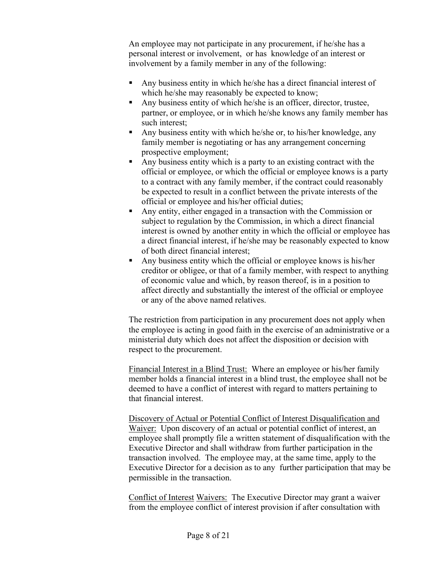An employee may not participate in any procurement, if he/she has a personal interest or involvement, or has knowledge of an interest or involvement by a family member in any of the following:

- Any business entity in which he/she has a direct financial interest of which he/she may reasonably be expected to know;
- Any business entity of which he/she is an officer, director, trustee, partner, or employee, or in which he/she knows any family member has such interest;
- Any business entity with which he/she or, to his/her knowledge, any family member is negotiating or has any arrangement concerning prospective employment;
- Any business entity which is a party to an existing contract with the official or employee, or which the official or employee knows is a party to a contract with any family member, if the contract could reasonably be expected to result in a conflict between the private interests of the official or employee and his/her official duties;
- Any entity, either engaged in a transaction with the Commission or subject to regulation by the Commission, in which a direct financial interest is owned by another entity in which the official or employee has a direct financial interest, if he/she may be reasonably expected to know of both direct financial interest;
- Any business entity which the official or employee knows is his/her creditor or obligee, or that of a family member, with respect to anything of economic value and which, by reason thereof, is in a position to affect directly and substantially the interest of the official or employee or any of the above named relatives.

The restriction from participation in any procurement does not apply when the employee is acting in good faith in the exercise of an administrative or a ministerial duty which does not affect the disposition or decision with respect to the procurement.

Financial Interest in a Blind Trust: Where an employee or his/her family member holds a financial interest in a blind trust, the employee shall not be deemed to have a conflict of interest with regard to matters pertaining to that financial interest.

Discovery of Actual or Potential Conflict of Interest Disqualification and Waiver: Upon discovery of an actual or potential conflict of interest, an employee shall promptly file a written statement of disqualification with the Executive Director and shall withdraw from further participation in the transaction involved. The employee may, at the same time, apply to the Executive Director for a decision as to any further participation that may be permissible in the transaction.

Conflict of Interest Waivers: The Executive Director may grant a waiver from the employee conflict of interest provision if after consultation with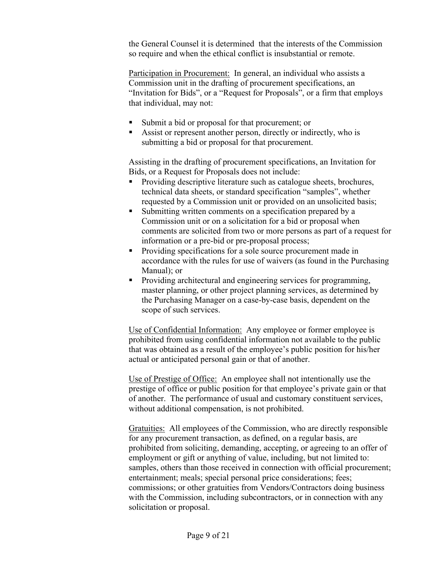the General Counsel it is determined that the interests of the Commission so require and when the ethical conflict is insubstantial or remote.

Participation in Procurement: In general, an individual who assists a Commission unit in the drafting of procurement specifications, an "Invitation for Bids", or a "Request for Proposals", or a firm that employs that individual, may not:

- Submit a bid or proposal for that procurement; or
- Assist or represent another person, directly or indirectly, who is submitting a bid or proposal for that procurement.

Assisting in the drafting of procurement specifications, an Invitation for Bids, or a Request for Proposals does not include:

- Providing descriptive literature such as catalogue sheets, brochures, technical data sheets, or standard specification "samples", whether requested by a Commission unit or provided on an unsolicited basis;
- Submitting written comments on a specification prepared by a Commission unit or on a solicitation for a bid or proposal when comments are solicited from two or more persons as part of a request for information or a pre-bid or pre-proposal process;
- **Providing specifications for a sole source procurement made in** accordance with the rules for use of waivers (as found in the Purchasing Manual); or
- **Providing architectural and engineering services for programming,** master planning, or other project planning services, as determined by the Purchasing Manager on a case-by-case basis, dependent on the scope of such services.

Use of Confidential Information: Any employee or former employee is prohibited from using confidential information not available to the public that was obtained as a result of the employee's public position for his/her actual or anticipated personal gain or that of another.

Use of Prestige of Office: An employee shall not intentionally use the prestige of office or public position for that employee's private gain or that of another. The performance of usual and customary constituent services, without additional compensation, is not prohibited.

Gratuities: All employees of the Commission, who are directly responsible for any procurement transaction, as defined, on a regular basis, are prohibited from soliciting, demanding, accepting, or agreeing to an offer of employment or gift or anything of value, including, but not limited to: samples, others than those received in connection with official procurement; entertainment; meals; special personal price considerations; fees; commissions; or other gratuities from Vendors/Contractors doing business with the Commission, including subcontractors, or in connection with any solicitation or proposal.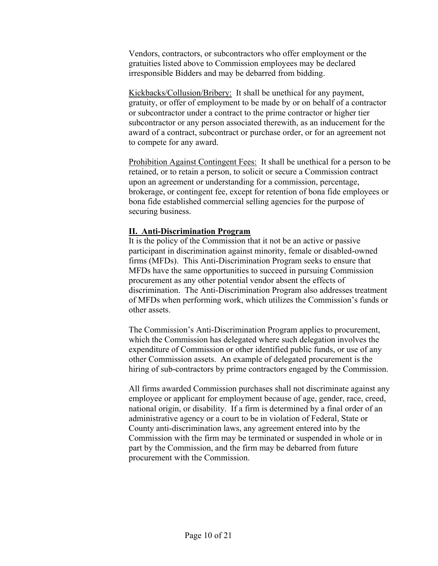Vendors, contractors, or subcontractors who offer employment or the gratuities listed above to Commission employees may be declared irresponsible Bidders and may be debarred from bidding.

Kickbacks/Collusion/Bribery: It shall be unethical for any payment, gratuity, or offer of employment to be made by or on behalf of a contractor or subcontractor under a contract to the prime contractor or higher tier subcontractor or any person associated therewith, as an inducement for the award of a contract, subcontract or purchase order, or for an agreement not to compete for any award.

Prohibition Against Contingent Fees: It shall be unethical for a person to be retained, or to retain a person, to solicit or secure a Commission contract upon an agreement or understanding for a commission, percentage, brokerage, or contingent fee, except for retention of bona fide employees or bona fide established commercial selling agencies for the purpose of securing business.

#### **II. Anti-Discrimination Program**

It is the policy of the Commission that it not be an active or passive participant in discrimination against minority, female or disabled-owned firms (MFDs). This Anti-Discrimination Program seeks to ensure that MFDs have the same opportunities to succeed in pursuing Commission procurement as any other potential vendor absent the effects of discrimination. The Anti-Discrimination Program also addresses treatment of MFDs when performing work, which utilizes the Commission's funds or other assets.

The Commission's Anti-Discrimination Program applies to procurement, which the Commission has delegated where such delegation involves the expenditure of Commission or other identified public funds, or use of any other Commission assets. An example of delegated procurement is the hiring of sub-contractors by prime contractors engaged by the Commission.

All firms awarded Commission purchases shall not discriminate against any employee or applicant for employment because of age, gender, race, creed, national origin, or disability. If a firm is determined by a final order of an administrative agency or a court to be in violation of Federal, State or County anti-discrimination laws, any agreement entered into by the Commission with the firm may be terminated or suspended in whole or in part by the Commission, and the firm may be debarred from future procurement with the Commission.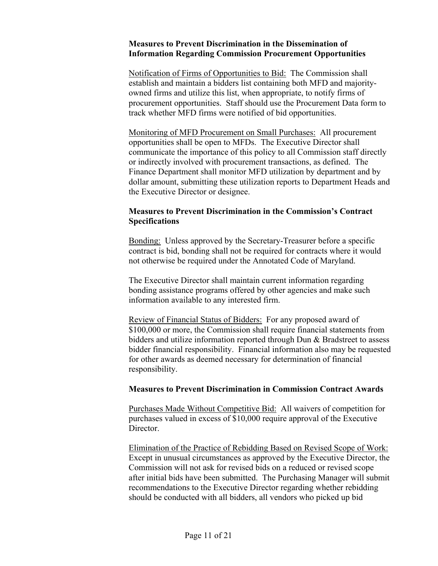#### **Measures to Prevent Discrimination in the Dissemination of Information Regarding Commission Procurement Opportunities**

Notification of Firms of Opportunities to Bid: The Commission shall establish and maintain a bidders list containing both MFD and majorityowned firms and utilize this list, when appropriate, to notify firms of procurement opportunities. Staff should use the Procurement Data form to track whether MFD firms were notified of bid opportunities.

 Monitoring of MFD Procurement on Small Purchases: All procurement opportunities shall be open to MFDs. The Executive Director shall communicate the importance of this policy to all Commission staff directly or indirectly involved with procurement transactions, as defined. The Finance Department shall monitor MFD utilization by department and by dollar amount, submitting these utilization reports to Department Heads and the Executive Director or designee.

#### **Measures to Prevent Discrimination in the Commission's Contract Specifications**

 Bonding: Unless approved by the Secretary-Treasurer before a specific contract is bid, bonding shall not be required for contracts where it would not otherwise be required under the Annotated Code of Maryland.

 The Executive Director shall maintain current information regarding bonding assistance programs offered by other agencies and make such information available to any interested firm.

 Review of Financial Status of Bidders: For any proposed award of \$100,000 or more, the Commission shall require financial statements from bidders and utilize information reported through Dun & Bradstreet to assess bidder financial responsibility. Financial information also may be requested for other awards as deemed necessary for determination of financial responsibility.

#### **Measures to Prevent Discrimination in Commission Contract Awards**

Purchases Made Without Competitive Bid: All waivers of competition for purchases valued in excess of \$10,000 require approval of the Executive Director.

Elimination of the Practice of Rebidding Based on Revised Scope of Work: Except in unusual circumstances as approved by the Executive Director, the Commission will not ask for revised bids on a reduced or revised scope after initial bids have been submitted. The Purchasing Manager will submit recommendations to the Executive Director regarding whether rebidding should be conducted with all bidders, all vendors who picked up bid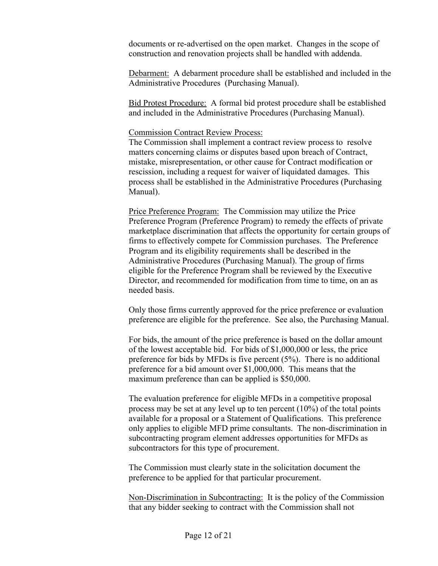documents or re-advertised on the open market. Changes in the scope of construction and renovation projects shall be handled with addenda.

Debarment: A debarment procedure shall be established and included in the Administrative Procedures (Purchasing Manual).

Bid Protest Procedure: A formal bid protest procedure shall be established and included in the Administrative Procedures (Purchasing Manual).

#### Commission Contract Review Process:

The Commission shall implement a contract review process to resolve matters concerning claims or disputes based upon breach of Contract, mistake, misrepresentation, or other cause for Contract modification or rescission, including a request for waiver of liquidated damages. This process shall be established in the Administrative Procedures (Purchasing Manual).

 Price Preference Program: The Commission may utilize the Price Preference Program (Preference Program) to remedy the effects of private marketplace discrimination that affects the opportunity for certain groups of firms to effectively compete for Commission purchases. The Preference Program and its eligibility requirements shall be described in the Administrative Procedures (Purchasing Manual). The group of firms eligible for the Preference Program shall be reviewed by the Executive Director, and recommended for modification from time to time, on an as needed basis.

 Only those firms currently approved for the price preference or evaluation preference are eligible for the preference. See also, the Purchasing Manual.

 For bids, the amount of the price preference is based on the dollar amount of the lowest acceptable bid. For bids of \$1,000,000 or less, the price preference for bids by MFDs is five percent (5%). There is no additional preference for a bid amount over \$1,000,000. This means that the maximum preference than can be applied is \$50,000.

 The evaluation preference for eligible MFDs in a competitive proposal process may be set at any level up to ten percent (10%) of the total points available for a proposal or a Statement of Qualifications. This preference only applies to eligible MFD prime consultants. The non-discrimination in subcontracting program element addresses opportunities for MFDs as subcontractors for this type of procurement.

 The Commission must clearly state in the solicitation document the preference to be applied for that particular procurement.

 Non-Discrimination in Subcontracting: It is the policy of the Commission that any bidder seeking to contract with the Commission shall not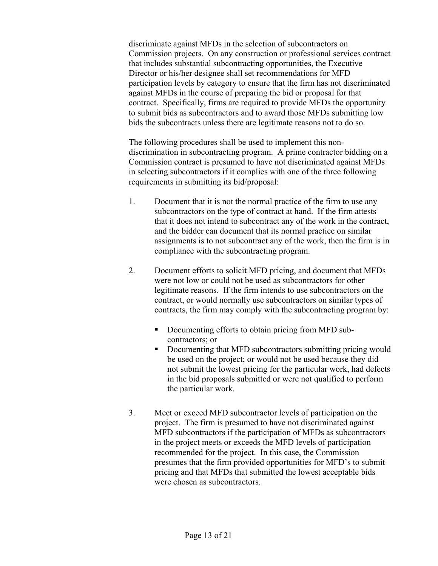discriminate against MFDs in the selection of subcontractors on Commission projects. On any construction or professional services contract that includes substantial subcontracting opportunities, the Executive Director or his/her designee shall set recommendations for MFD participation levels by category to ensure that the firm has not discriminated against MFDs in the course of preparing the bid or proposal for that contract. Specifically, firms are required to provide MFDs the opportunity to submit bids as subcontractors and to award those MFDs submitting low bids the subcontracts unless there are legitimate reasons not to do so.

The following procedures shall be used to implement this nondiscrimination in subcontracting program. A prime contractor bidding on a Commission contract is presumed to have not discriminated against MFDs in selecting subcontractors if it complies with one of the three following requirements in submitting its bid/proposal:

- 1. Document that it is not the normal practice of the firm to use any subcontractors on the type of contract at hand. If the firm attests that it does not intend to subcontract any of the work in the contract, and the bidder can document that its normal practice on similar assignments is to not subcontract any of the work, then the firm is in compliance with the subcontracting program.
- 2. Document efforts to solicit MFD pricing, and document that MFDs were not low or could not be used as subcontractors for other legitimate reasons. If the firm intends to use subcontractors on the contract, or would normally use subcontractors on similar types of contracts, the firm may comply with the subcontracting program by:
	- Documenting efforts to obtain pricing from MFD subcontractors; or
	- Documenting that MFD subcontractors submitting pricing would be used on the project; or would not be used because they did not submit the lowest pricing for the particular work, had defects in the bid proposals submitted or were not qualified to perform the particular work.
- 3. Meet or exceed MFD subcontractor levels of participation on the project. The firm is presumed to have not discriminated against MFD subcontractors if the participation of MFDs as subcontractors in the project meets or exceeds the MFD levels of participation recommended for the project. In this case, the Commission presumes that the firm provided opportunities for MFD's to submit pricing and that MFDs that submitted the lowest acceptable bids were chosen as subcontractors.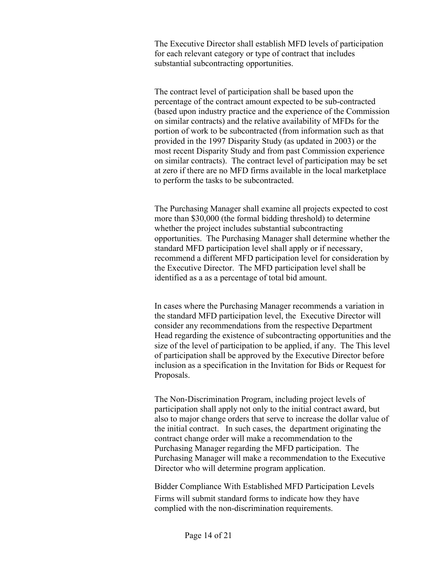The Executive Director shall establish MFD levels of participation for each relevant category or type of contract that includes substantial subcontracting opportunities.

The contract level of participation shall be based upon the percentage of the contract amount expected to be sub-contracted (based upon industry practice and the experience of the Commission on similar contracts) and the relative availability of MFDs for the portion of work to be subcontracted (from information such as that provided in the 1997 Disparity Study (as updated in 2003) or the most recent Disparity Study and from past Commission experience on similar contracts). The contract level of participation may be set at zero if there are no MFD firms available in the local marketplace to perform the tasks to be subcontracted.

 The Purchasing Manager shall examine all projects expected to cost more than \$30,000 (the formal bidding threshold) to determine whether the project includes substantial subcontracting opportunities. The Purchasing Manager shall determine whether the standard MFD participation level shall apply or if necessary, recommend a different MFD participation level for consideration by the Executive Director. The MFD participation level shall be identified as a as a percentage of total bid amount.

 In cases where the Purchasing Manager recommends a variation in the standard MFD participation level, the Executive Director will consider any recommendations from the respective Department Head regarding the existence of subcontracting opportunities and the size of the level of participation to be applied, if any. The This level of participation shall be approved by the Executive Director before inclusion as a specification in the Invitation for Bids or Request for Proposals.

The Non-Discrimination Program, including project levels of participation shall apply not only to the initial contract award, but also to major change orders that serve to increase the dollar value of the initial contract. In such cases, the department originating the contract change order will make a recommendation to the Purchasing Manager regarding the MFD participation. The Purchasing Manager will make a recommendation to the Executive Director who will determine program application.

Bidder Compliance With Established MFD Participation Levels Firms will submit standard forms to indicate how they have complied with the non-discrimination requirements.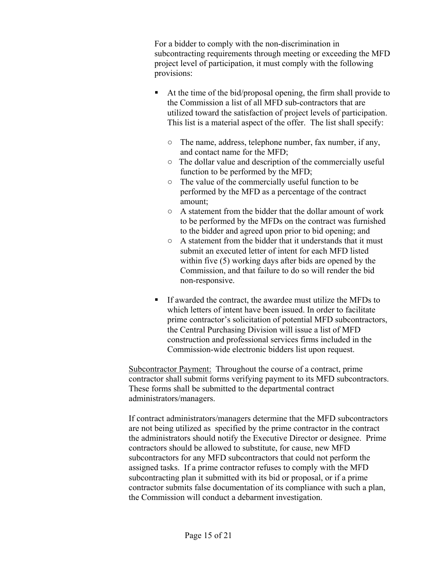For a bidder to comply with the non-discrimination in subcontracting requirements through meeting or exceeding the MFD project level of participation, it must comply with the following provisions:

- At the time of the bid/proposal opening, the firm shall provide to the Commission a list of all MFD sub-contractors that are utilized toward the satisfaction of project levels of participation. This list is a material aspect of the offer. The list shall specify:
	- **○** The name, address, telephone number, fax number, if any, and contact name for the MFD;
	- **○** The dollar value and description of the commercially useful function to be performed by the MFD;
	- **○** The value of the commercially useful function to be performed by the MFD as a percentage of the contract amount;
	- **○** A statement from the bidder that the dollar amount of work to be performed by the MFDs on the contract was furnished to the bidder and agreed upon prior to bid opening; and
	- **○** A statement from the bidder that it understands that it must submit an executed letter of intent for each MFD listed within five (5) working days after bids are opened by the Commission, and that failure to do so will render the bid non-responsive.
- If awarded the contract, the awardee must utilize the MFDs to which letters of intent have been issued. In order to facilitate prime contractor's solicitation of potential MFD subcontractors, the Central Purchasing Division will issue a list of MFD construction and professional services firms included in the Commission-wide electronic bidders list upon request.

Subcontractor Payment: Throughout the course of a contract, prime contractor shall submit forms verifying payment to its MFD subcontractors. These forms shall be submitted to the departmental contract administrators/managers.

 If contract administrators/managers determine that the MFD subcontractors are not being utilized as specified by the prime contractor in the contract the administrators should notify the Executive Director or designee. Prime contractors should be allowed to substitute, for cause, new MFD subcontractors for any MFD subcontractors that could not perform the assigned tasks. If a prime contractor refuses to comply with the MFD subcontracting plan it submitted with its bid or proposal, or if a prime contractor submits false documentation of its compliance with such a plan, the Commission will conduct a debarment investigation.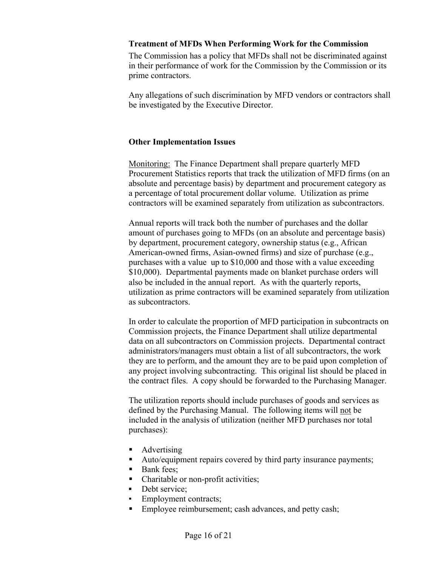#### **Treatment of MFDs When Performing Work for the Commission**

 The Commission has a policy that MFDs shall not be discriminated against in their performance of work for the Commission by the Commission or its prime contractors.

 Any allegations of such discrimination by MFD vendors or contractors shall be investigated by the Executive Director.

### **Other Implementation Issues**

 Monitoring: The Finance Department shall prepare quarterly MFD Procurement Statistics reports that track the utilization of MFD firms (on an absolute and percentage basis) by department and procurement category as a percentage of total procurement dollar volume. Utilization as prime contractors will be examined separately from utilization as subcontractors.

 Annual reports will track both the number of purchases and the dollar amount of purchases going to MFDs (on an absolute and percentage basis) by department, procurement category, ownership status (e.g., African American-owned firms, Asian-owned firms) and size of purchase (e.g., purchases with a value up to \$10,000 and those with a value exceeding \$10,000). Departmental payments made on blanket purchase orders will also be included in the annual report. As with the quarterly reports, utilization as prime contractors will be examined separately from utilization as subcontractors.

 In order to calculate the proportion of MFD participation in subcontracts on Commission projects, the Finance Department shall utilize departmental data on all subcontractors on Commission projects. Departmental contract administrators/managers must obtain a list of all subcontractors, the work they are to perform, and the amount they are to be paid upon completion of any project involving subcontracting. This original list should be placed in the contract files. A copy should be forwarded to the Purchasing Manager.

 The utilization reports should include purchases of goods and services as defined by the Purchasing Manual. The following items will not be included in the analysis of utilization (neither MFD purchases nor total purchases):

- Advertising
- Auto/equipment repairs covered by third party insurance payments;
- Bank fees:
- Charitable or non-profit activities;
- **▪** Debt service;
- Employment contracts;
- Employee reimbursement; cash advances, and petty cash;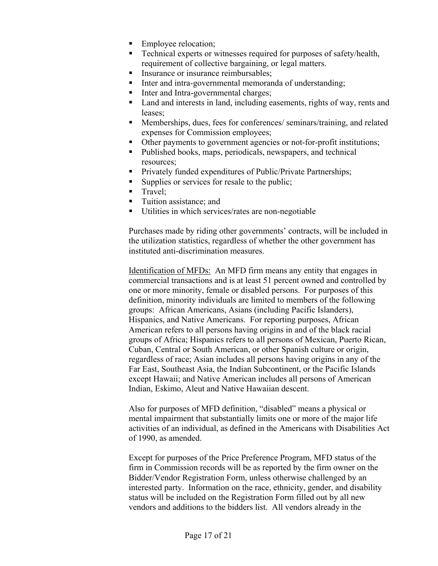- Employee relocation;
- Technical experts or witnesses required for purposes of safety/health, requirement of collective bargaining, or legal matters.
- Insurance or insurance reimbursables:
- Inter and intra-governmental memoranda of understanding;
- Inter and Intra-governmental charges;
- Land and interests in land, including easements, rights of way, rents and leases;
- Memberships, dues, fees for conferences/ seminars/training, and related expenses for Commission employees;
- Other payments to government agencies or not-for-profit institutions;
- Published books, maps, periodicals, newspapers, and technical resources;
- **Privately funded expenditures of Public/Private Partnerships;**
- Supplies or services for resale to the public;
- $\blacksquare$  Travel;
- Tuition assistance; and
- Utilities in which services/rates are non-negotiable

Purchases made by riding other governments' contracts, will be included in the utilization statistics, regardless of whether the other government has instituted anti-discrimination measures.

Identification of MFDs: An MFD firm means any entity that engages in commercial transactions and is at least 51 percent owned and controlled by one or more minority, female or disabled persons. For purposes of this definition, minority individuals are limited to members of the following groups: African Americans, Asians (including Pacific Islanders), Hispanics, and Native Americans. For reporting purposes, African American refers to all persons having origins in and of the black racial groups of Africa; Hispanics refers to all persons of Mexican, Puerto Rican, Cuban, Central or South American, or other Spanish culture or origin, regardless of race; Asian includes all persons having origins in any of the Far East, Southeast Asia, the Indian Subcontinent, or the Pacific Islands except Hawaii; and Native American includes all persons of American Indian, Eskimo, Aleut and Native Hawaiian descent.

Also for purposes of MFD definition, "disabled" means a physical or mental impairment that substantially limits one or more of the major life activities of an individual, as defined in the Americans with Disabilities Act of 1990, as amended.

Except for purposes of the Price Preference Program, MFD status of the firm in Commission records will be as reported by the firm owner on the Bidder/Vendor Registration Form, unless otherwise challenged by an interested party. Information on the race, ethnicity, gender, and disability status will be included on the Registration Form filled out by all new vendors and additions to the bidders list. All vendors already in the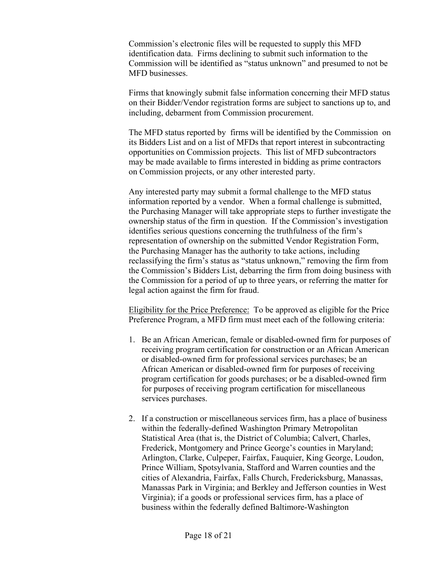Commission's electronic files will be requested to supply this MFD identification data. Firms declining to submit such information to the Commission will be identified as "status unknown" and presumed to not be MFD businesses.

Firms that knowingly submit false information concerning their MFD status on their Bidder/Vendor registration forms are subject to sanctions up to, and including, debarment from Commission procurement.

The MFD status reported by firms will be identified by the Commission on its Bidders List and on a list of MFDs that report interest in subcontracting opportunities on Commission projects. This list of MFD subcontractors may be made available to firms interested in bidding as prime contractors on Commission projects, or any other interested party.

Any interested party may submit a formal challenge to the MFD status information reported by a vendor. When a formal challenge is submitted, the Purchasing Manager will take appropriate steps to further investigate the ownership status of the firm in question. If the Commission's investigation identifies serious questions concerning the truthfulness of the firm's representation of ownership on the submitted Vendor Registration Form, the Purchasing Manager has the authority to take actions, including reclassifying the firm's status as "status unknown," removing the firm from the Commission's Bidders List, debarring the firm from doing business with the Commission for a period of up to three years, or referring the matter for legal action against the firm for fraud.

Eligibility for the Price Preference: To be approved as eligible for the Price Preference Program, a MFD firm must meet each of the following criteria:

- 1. Be an African American, female or disabled-owned firm for purposes of receiving program certification for construction or an African American or disabled-owned firm for professional services purchases; be an African American or disabled-owned firm for purposes of receiving program certification for goods purchases; or be a disabled-owned firm for purposes of receiving program certification for miscellaneous services purchases.
- 2. If a construction or miscellaneous services firm, has a place of business within the federally-defined Washington Primary Metropolitan Statistical Area (that is, the District of Columbia; Calvert, Charles, Frederick, Montgomery and Prince George's counties in Maryland; Arlington, Clarke, Culpeper, Fairfax, Fauquier, King George, Loudon, Prince William, Spotsylvania, Stafford and Warren counties and the cities of Alexandria, Fairfax, Falls Church, Fredericksburg, Manassas, Manassas Park in Virginia; and Berkley and Jefferson counties in West Virginia); if a goods or professional services firm, has a place of business within the federally defined Baltimore-Washington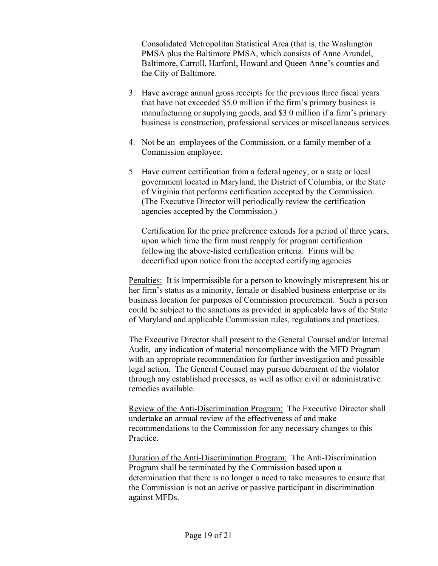Consolidated Metropolitan Statistical Area (that is, the Washington PMSA plus the Baltimore PMSA, which consists of Anne Arundel, Baltimore, Carroll, Harford, Howard and Queen Anne's counties and the City of Baltimore.

- 3. Have average annual gross receipts for the previous three fiscal years that have not exceeded \$5.0 million if the firm's primary business is manufacturing or supplying goods, and \$3.0 million if a firm's primary business is construction, professional services or miscellaneous services.
- 4. Not be an employees of the Commission, or a family member of a Commission employee.
- 5. Have current certification from a federal agency, or a state or local government located in Maryland, the District of Columbia, or the State of Virginia that performs certification accepted by the Commission. (The Executive Director will periodically review the certification agencies accepted by the Commission.)

 Certification for the price preference extends for a period of three years, upon which time the firm must reapply for program certification following the above-listed certification criteria. Firms will be decertified upon notice from the accepted certifying agencies

Penalties: It is impermissible for a person to knowingly misrepresent his or her firm's status as a minority, female or disabled business enterprise or its business location for purposes of Commission procurement. Such a person could be subject to the sanctions as provided in applicable laws of the State of Maryland and applicable Commission rules, regulations and practices.

The Executive Director shall present to the General Counsel and/or Internal Audit, any indication of material noncompliance with the MFD Program with an appropriate recommendation for further investigation and possible legal action. The General Counsel may pursue debarment of the violator through any established processes, as well as other civil or administrative remedies available.

Review of the Anti-Discrimination Program: The Executive Director shall undertake an annual review of the effectiveness of and make recommendations to the Commission for any necessary changes to this Practice.

Duration of the Anti-Discrimination Program: The Anti-Discrimination Program shall be terminated by the Commission based upon a determination that there is no longer a need to take measures to ensure that the Commission is not an active or passive participant in discrimination against MFDs.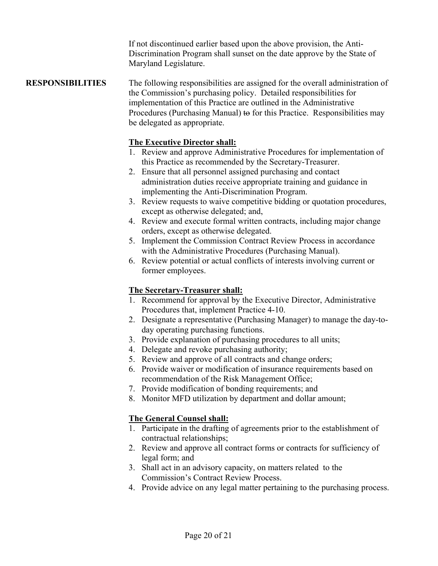If not discontinued earlier based upon the above provision, the Anti-Discrimination Program shall sunset on the date approve by the State of Maryland Legislature.

#### **RESPONSIBILITIES** The following responsibilities are assigned for the overall administration of the Commission's purchasing policy. Detailed responsibilities for implementation of this Practice are outlined in the Administrative Procedures (Purchasing Manual) to for this Practice. Responsibilities may be delegated as appropriate.

#### **The Executive Director shall:**

- 1. Review and approve Administrative Procedures for implementation of this Practice as recommended by the Secretary-Treasurer.
- 2. Ensure that all personnel assigned purchasing and contact administration duties receive appropriate training and guidance in implementing the Anti-Discrimination Program.
- 3. Review requests to waive competitive bidding or quotation procedures, except as otherwise delegated; and,
- 4. Review and execute formal written contracts, including major change orders, except as otherwise delegated.
- 5. Implement the Commission Contract Review Process in accordance with the Administrative Procedures (Purchasing Manual).
- 6. Review potential or actual conflicts of interests involving current or former employees.

#### **The Secretary-Treasurer shall:**

- 1. Recommend for approval by the Executive Director, Administrative Procedures that, implement Practice 4-10.
- 2. Designate a representative (Purchasing Manager) to manage the day-today operating purchasing functions.
- 3. Provide explanation of purchasing procedures to all units;
- 4. Delegate and revoke purchasing authority;
- 5. Review and approve of all contracts and change orders;
- 6. Provide waiver or modification of insurance requirements based on recommendation of the Risk Management Office;
- 7. Provide modification of bonding requirements; and
- 8. Monitor MFD utilization by department and dollar amount;

### **The General Counsel shall:**

- 1. Participate in the drafting of agreements prior to the establishment of contractual relationships;
- 2. Review and approve all contract forms or contracts for sufficiency of legal form; and
- 3. Shall act in an advisory capacity, on matters related to the Commission's Contract Review Process.
- 4. Provide advice on any legal matter pertaining to the purchasing process.